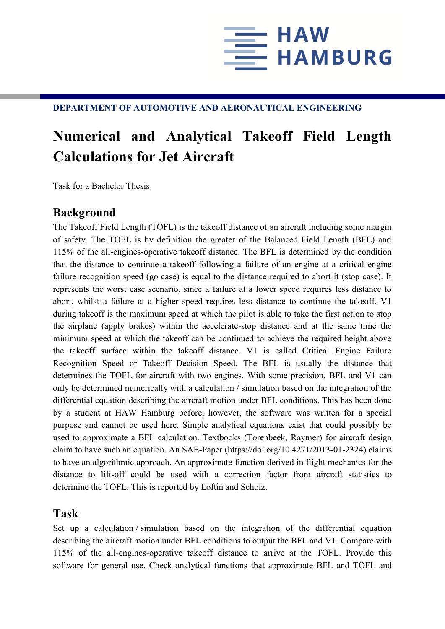

## **DEPARTMENT OF AUTOMOTIVE AND AERONAUTICAL ENGINEERING**

## **Numerical and Analytical Takeoff Field Length Calculations for Jet Aircraft**

Task for a Bachelor Thesis

## **Background**

The Takeoff Field Length (TOFL) is the takeoff distance of an aircraft including some margin of safety. The TOFL is by definition the greater of the Balanced Field Length (BFL) and 115% of the all-engines-operative takeoff distance. The BFL is determined by the condition that the distance to continue a takeoff following a failure of an engine at a critical engine failure recognition speed (go case) is equal to the distance required to abort it (stop case). It represents the worst case scenario, since a failure at a lower speed requires less distance to abort, whilst a failure at a higher speed requires less distance to continue the takeoff. V1 during takeoff is the maximum speed at which the pilot is able to take the first action to stop the airplane (apply brakes) within the accelerate-stop distance and at the same time the minimum speed at which the takeoff can be continued to achieve the required height above the takeoff surface within the takeoff distance. V1 is called Critical Engine Failure Recognition Speed or Takeoff Decision Speed. The BFL is usually the distance that determines the TOFL for aircraft with two engines. With some precision, BFL and V1 can only be determined numerically with a calculation / simulation based on the integration of the differential equation describing the aircraft motion under BFL conditions. This has been done by a student at HAW Hamburg before, however, the software was written for a special purpose and cannot be used here. Simple analytical equations exist that could possibly be used to approximate a BFL calculation. Textbooks (Torenbeek, Raymer) for aircraft design claim to have such an equation. An SAE-Paper (https://doi.org/10.4271/2013-01-2324) claims to have an algorithmic approach. An approximate function derived in flight mechanics for the distance to lift-off could be used with a correction factor from aircraft statistics to determine the TOFL. This is reported by Loftin and Scholz.

## **Task**

Set up a calculation / simulation based on the integration of the differential equation describing the aircraft motion under BFL conditions to output the BFL and V1. Compare with 115% of the all-engines-operative takeoff distance to arrive at the TOFL. Provide this software for general use. Check analytical functions that approximate BFL and TOFL and